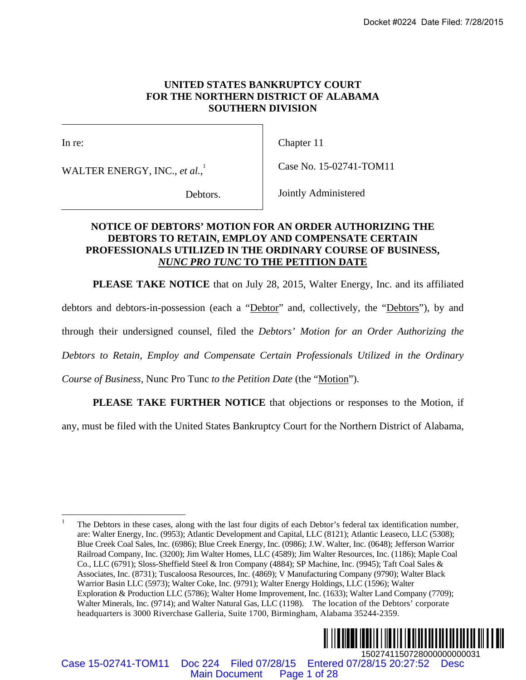### **UNITED STATES BANKRUPTCY COURT FOR THE NORTHERN DISTRICT OF ALABAMA SOUTHERN DIVISION**

 $\overline{\phantom{a}}$ 

In re:

WALTER ENERGY, INC., *et al.*, 1

Chapter 11

Case No. 15-02741-TOM11

Debtors.

Jointly Administered

# **NOTICE OF DEBTORS' MOTION FOR AN ORDER AUTHORIZING THE DEBTORS TO RETAIN, EMPLOY AND COMPENSATE CERTAIN PROFESSIONALS UTILIZED IN THE ORDINARY COURSE OF BUSINESS,**  *NUNC PRO TUNC* **TO THE PETITION DATE**

**PLEASE TAKE NOTICE** that on July 28, 2015, Walter Energy, Inc. and its affiliated

debtors and debtors-in-possession (each a "Debtor" and, collectively, the "Debtors"), by and

through their undersigned counsel, filed the *Debtors' Motion for an Order Authorizing the* 

*Debtors to Retain, Employ and Compensate Certain Professionals Utilized in the Ordinary* 

*Course of Business,* Nunc Pro Tunc *to the Petition Date* (the "Motion").

**PLEASE TAKE FURTHER NOTICE** that objections or responses to the Motion, if

any, must be filed with the United States Bankruptcy Court for the Northern District of Alabama,

<sup>1</sup> The Debtors in these cases, along with the last four digits of each Debtor's federal tax identification number, are: Walter Energy, Inc. (9953); Atlantic Development and Capital, LLC (8121); Atlantic Leaseco, LLC (5308); Blue Creek Coal Sales, Inc. (6986); Blue Creek Energy, Inc. (0986); J.W. Walter, Inc. (0648); Jefferson Warrior Railroad Company, Inc. (3200); Jim Walter Homes, LLC (4589); Jim Walter Resources, Inc. (1186); Maple Coal Co., LLC (6791); Sloss-Sheffield Steel & Iron Company (4884); SP Machine, Inc. (9945); Taft Coal Sales & Associates, Inc. (8731); Tuscaloosa Resources, Inc. (4869); V Manufacturing Company (9790); Walter Black Warrior Basin LLC (5973); Walter Coke, Inc. (9791); Walter Energy Holdings, LLC (1596); Walter Exploration & Production LLC (5786); Walter Home Improvement, Inc. (1633); Walter Land Company (7709); Walter Minerals, Inc. (9714); and Walter Natural Gas, LLC (1198). The location of the Debtors' corporate headquarters is 3000 Riverchase Galleria, Suite 1700, Birmingham, Alabama 35244-2359. Docket #0224 Date Filed: 7/28/2015<br>
MAIN NOTIFIERS BANKRUPTCY COURT<br>
SOUTHERN DISTRICT OF ALABAMA<br>
SOUTHERN DIVISION<br>
Clapter 11<br>  $a_i'$ <br>
Clapter 11<br>  $a_i'$ <br>
Lemburg,  $\frac{1}{2}$ <br>
Clapter 11<br>
Clapter 11<br>
Clapter 11<br>
Clapter 1



Case 15-02741-TOM11 Doc 224 Filed 07/28/15 Entered 07/28/15 20:27:52 Desc

 $\overline{a}$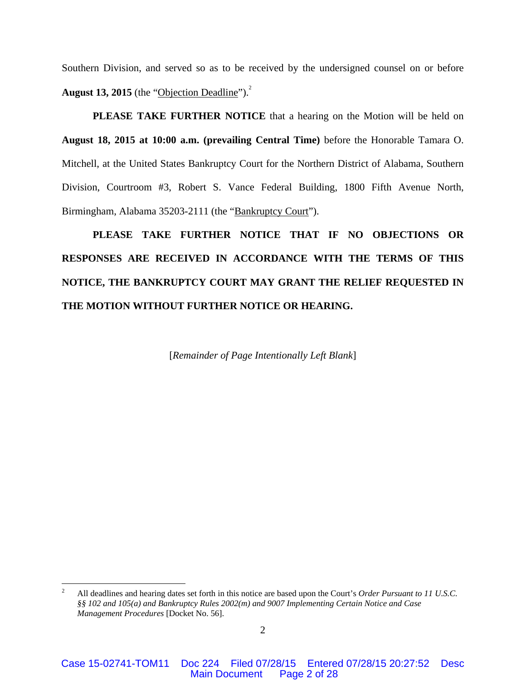Southern Division, and served so as to be received by the undersigned counsel on or before **August 13, 2015** (the "Objection Deadline").<sup>2</sup>

**PLEASE TAKE FURTHER NOTICE** that a hearing on the Motion will be held on **August 18, 2015 at 10:00 a.m. (prevailing Central Time)** before the Honorable Tamara O. Mitchell, at the United States Bankruptcy Court for the Northern District of Alabama, Southern Division, Courtroom #3, Robert S. Vance Federal Building, 1800 Fifth Avenue North, Birmingham, Alabama 35203-2111 (the "Bankruptcy Court").

**PLEASE TAKE FURTHER NOTICE THAT IF NO OBJECTIONS OR RESPONSES ARE RECEIVED IN ACCORDANCE WITH THE TERMS OF THIS NOTICE, THE BANKRUPTCY COURT MAY GRANT THE RELIEF REQUESTED IN THE MOTION WITHOUT FURTHER NOTICE OR HEARING.**

[*Remainder of Page Intentionally Left Blank*]

 $\frac{1}{2}$  All deadlines and hearing dates set forth in this notice are based upon the Court's *Order Pursuant to 11 U.S.C. §§ 102 and 105(a) and Bankruptcy Rules 2002(m) and 9007 Implementing Certain Notice and Case Management Procedures* [Docket No. 56].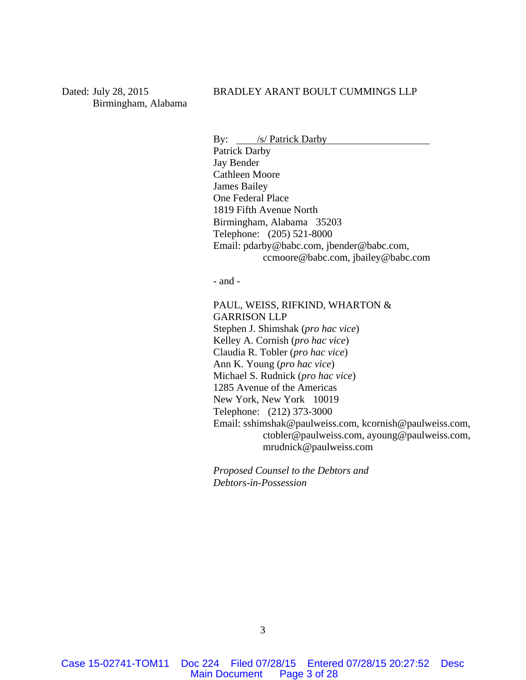Dated: July 28, 2015 Birmingham, Alabama

### BRADLEY ARANT BOULT CUMMINGS LLP

By: /s/ Patrick Darby

Patrick Darby Jay Bender Cathleen Moore James Bailey One Federal Place 1819 Fifth Avenue North Birmingham, Alabama 35203 Telephone: (205) 521-8000 Email: pdarby@babc.com, jbender@babc.com, ccmoore@babc.com, jbailey@babc.com

- and -

PAUL, WEISS, RIFKIND, WHARTON & GARRISON LLP Stephen J. Shimshak (*pro hac vice*) Kelley A. Cornish (*pro hac vice*) Claudia R. Tobler (*pro hac vice*) Ann K. Young (*pro hac vice*) Michael S. Rudnick (*pro hac vice*) 1285 Avenue of the Americas New York, New York 10019 Telephone: (212) 373-3000 Email: sshimshak@paulweiss.com, kcornish@paulweiss.com, ctobler@paulweiss.com, ayoung@paulweiss.com, mrudnick@paulweiss.com

*Proposed Counsel to the Debtors and Debtors-in-Possession*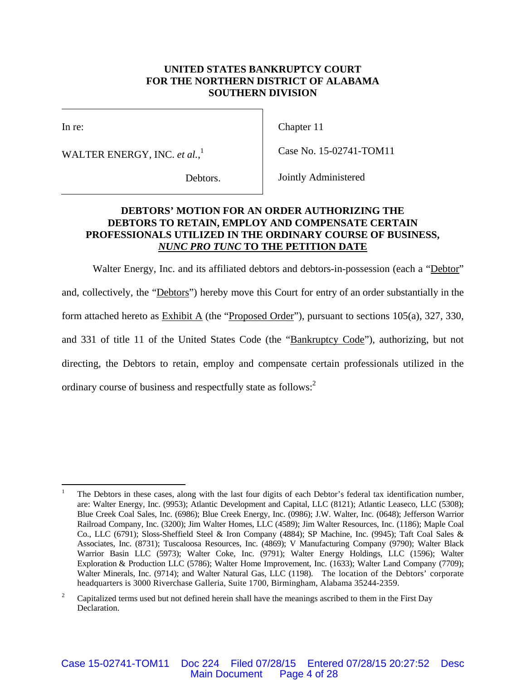## **UNITED STATES BANKRUPTCY COURT FOR THE NORTHERN DISTRICT OF ALABAMA SOUTHERN DIVISION**

 $\overline{\phantom{a}}$ 

In re:

WALTER ENERGY, INC. *et al.*, 1

Chapter 11

Case No. 15-02741-TOM11

Debtors.

Jointly Administered

# **DEBTORS' MOTION FOR AN ORDER AUTHORIZING THE DEBTORS TO RETAIN, EMPLOY AND COMPENSATE CERTAIN PROFESSIONALS UTILIZED IN THE ORDINARY COURSE OF BUSINESS,**  *NUNC PRO TUNC* **TO THE PETITION DATE**

Walter Energy, Inc. and its affiliated debtors and debtors-in-possession (each a "Debtor" and, collectively, the "Debtors") hereby move this Court for entry of an order substantially in the form attached hereto as  $Exhibit A$  (the "Proposed Order"), pursuant to sections 105(a), 327, 330, and 331 of title 11 of the United States Code (the "Bankruptcy Code"), authorizing, but not directing, the Debtors to retain, employ and compensate certain professionals utilized in the ordinary course of business and respectfully state as follows:<sup>2</sup>

 $\frac{1}{1}$  The Debtors in these cases, along with the last four digits of each Debtor's federal tax identification number, are: Walter Energy, Inc. (9953); Atlantic Development and Capital, LLC (8121); Atlantic Leaseco, LLC (5308); Blue Creek Coal Sales, Inc. (6986); Blue Creek Energy, Inc. (0986); J.W. Walter, Inc. (0648); Jefferson Warrior Railroad Company, Inc. (3200); Jim Walter Homes, LLC (4589); Jim Walter Resources, Inc. (1186); Maple Coal Co., LLC (6791); Sloss-Sheffield Steel & Iron Company (4884); SP Machine, Inc. (9945); Taft Coal Sales & Associates, Inc. (8731); Tuscaloosa Resources, Inc. (4869); V Manufacturing Company (9790); Walter Black Warrior Basin LLC (5973); Walter Coke, Inc. (9791); Walter Energy Holdings, LLC (1596); Walter Exploration & Production LLC (5786); Walter Home Improvement, Inc. (1633); Walter Land Company (7709); Walter Minerals, Inc. (9714); and Walter Natural Gas, LLC (1198). The location of the Debtors' corporate headquarters is 3000 Riverchase Galleria, Suite 1700, Birmingham, Alabama 35244-2359.

<sup>2</sup> Capitalized terms used but not defined herein shall have the meanings ascribed to them in the First Day Declaration.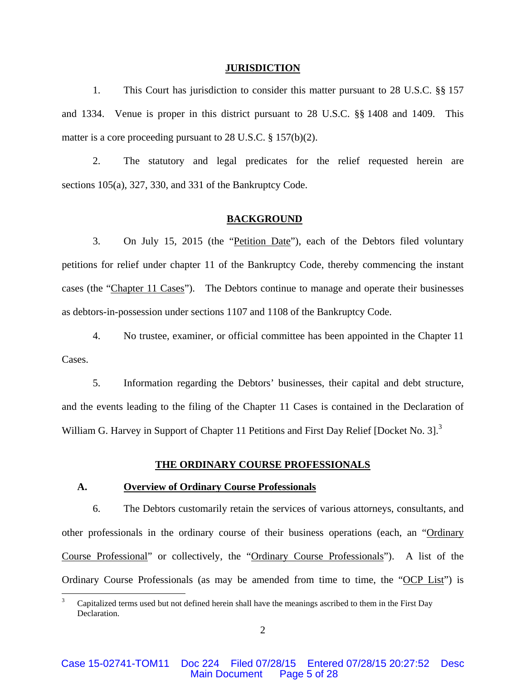#### **JURISDICTION**

1. This Court has jurisdiction to consider this matter pursuant to 28 U.S.C. §§ 157 and 1334. Venue is proper in this district pursuant to 28 U.S.C. §§ 1408 and 1409. This matter is a core proceeding pursuant to 28 U.S.C. § 157(b)(2).

2. The statutory and legal predicates for the relief requested herein are sections 105(a), 327, 330, and 331 of the Bankruptcy Code.

#### **BACKGROUND**

3. On July 15, 2015 (the "Petition Date"), each of the Debtors filed voluntary petitions for relief under chapter 11 of the Bankruptcy Code, thereby commencing the instant cases (the "Chapter 11 Cases"). The Debtors continue to manage and operate their businesses as debtors-in-possession under sections 1107 and 1108 of the Bankruptcy Code.

4. No trustee, examiner, or official committee has been appointed in the Chapter 11 Cases.

5. Information regarding the Debtors' businesses, their capital and debt structure, and the events leading to the filing of the Chapter 11 Cases is contained in the Declaration of William G. Harvey in Support of Chapter 11 Petitions and First Day Relief [Docket No. 3].<sup>3</sup>

#### **THE ORDINARY COURSE PROFESSIONALS**

### **A. Overview of Ordinary Course Professionals**

 $\overline{a}$ 

6. The Debtors customarily retain the services of various attorneys, consultants, and other professionals in the ordinary course of their business operations (each, an "Ordinary Course Professional" or collectively, the "Ordinary Course Professionals"). A list of the Ordinary Course Professionals (as may be amended from time to time, the "OCP List") is

<sup>3</sup> Capitalized terms used but not defined herein shall have the meanings ascribed to them in the First Day Declaration.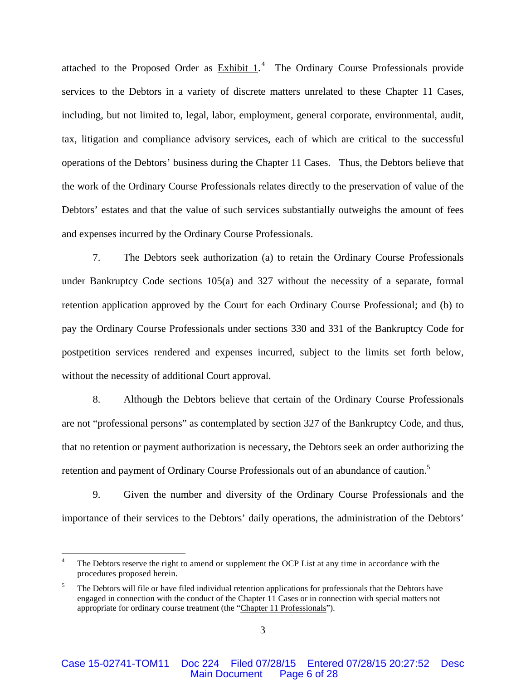attached to the Proposed Order as  $Exhibit 1<sup>4</sup>$ . The Ordinary Course Professionals provide services to the Debtors in a variety of discrete matters unrelated to these Chapter 11 Cases, including, but not limited to, legal, labor, employment, general corporate, environmental, audit, tax, litigation and compliance advisory services, each of which are critical to the successful operations of the Debtors' business during the Chapter 11 Cases. Thus, the Debtors believe that the work of the Ordinary Course Professionals relates directly to the preservation of value of the Debtors' estates and that the value of such services substantially outweighs the amount of fees and expenses incurred by the Ordinary Course Professionals.

7. The Debtors seek authorization (a) to retain the Ordinary Course Professionals under Bankruptcy Code sections 105(a) and 327 without the necessity of a separate, formal retention application approved by the Court for each Ordinary Course Professional; and (b) to pay the Ordinary Course Professionals under sections 330 and 331 of the Bankruptcy Code for postpetition services rendered and expenses incurred, subject to the limits set forth below, without the necessity of additional Court approval.

8. Although the Debtors believe that certain of the Ordinary Course Professionals are not "professional persons" as contemplated by section 327 of the Bankruptcy Code, and thus, that no retention or payment authorization is necessary, the Debtors seek an order authorizing the retention and payment of Ordinary Course Professionals out of an abundance of caution.<sup>5</sup>

9. Given the number and diversity of the Ordinary Course Professionals and the importance of their services to the Debtors' daily operations, the administration of the Debtors'

<sup>4</sup> The Debtors reserve the right to amend or supplement the OCP List at any time in accordance with the procedures proposed herein.

<sup>5</sup> The Debtors will file or have filed individual retention applications for professionals that the Debtors have engaged in connection with the conduct of the Chapter 11 Cases or in connection with special matters not appropriate for ordinary course treatment (the "Chapter 11 Professionals").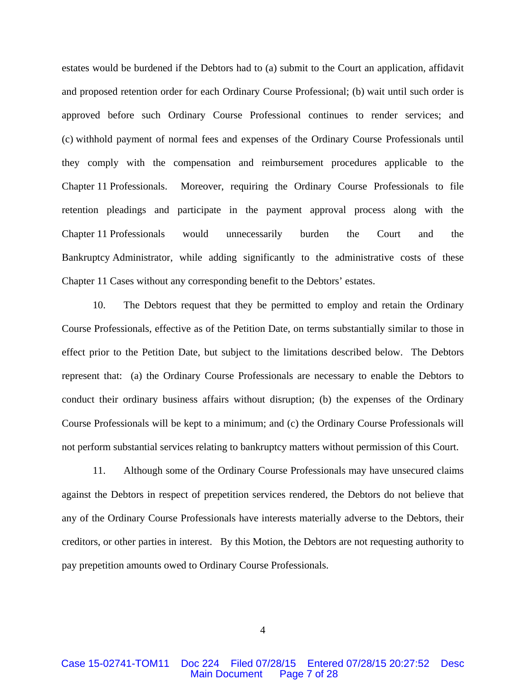estates would be burdened if the Debtors had to (a) submit to the Court an application, affidavit and proposed retention order for each Ordinary Course Professional; (b) wait until such order is approved before such Ordinary Course Professional continues to render services; and (c) withhold payment of normal fees and expenses of the Ordinary Course Professionals until they comply with the compensation and reimbursement procedures applicable to the Chapter 11 Professionals. Moreover, requiring the Ordinary Course Professionals to file retention pleadings and participate in the payment approval process along with the Chapter 11 Professionals would unnecessarily burden the Court and the Bankruptcy Administrator, while adding significantly to the administrative costs of these Chapter 11 Cases without any corresponding benefit to the Debtors' estates.

10. The Debtors request that they be permitted to employ and retain the Ordinary Course Professionals, effective as of the Petition Date, on terms substantially similar to those in effect prior to the Petition Date, but subject to the limitations described below. The Debtors represent that: (a) the Ordinary Course Professionals are necessary to enable the Debtors to conduct their ordinary business affairs without disruption; (b) the expenses of the Ordinary Course Professionals will be kept to a minimum; and (c) the Ordinary Course Professionals will not perform substantial services relating to bankruptcy matters without permission of this Court.

11. Although some of the Ordinary Course Professionals may have unsecured claims against the Debtors in respect of prepetition services rendered, the Debtors do not believe that any of the Ordinary Course Professionals have interests materially adverse to the Debtors, their creditors, or other parties in interest. By this Motion, the Debtors are not requesting authority to pay prepetition amounts owed to Ordinary Course Professionals.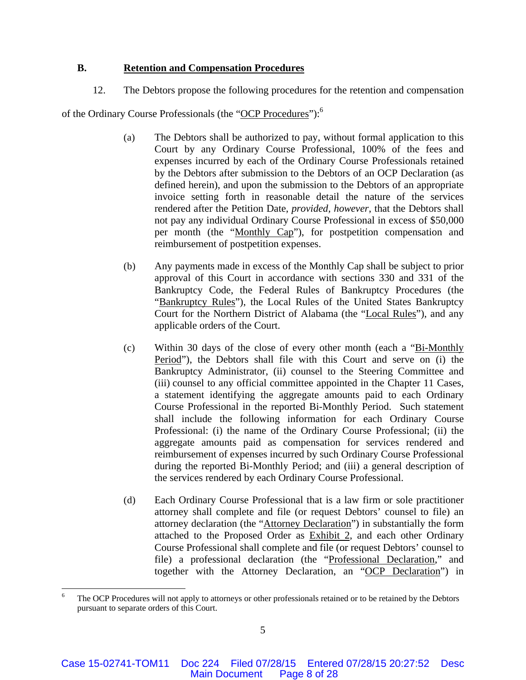## **B. Retention and Compensation Procedures**

12. The Debtors propose the following procedures for the retention and compensation

of the Ordinary Course Professionals (the "OCP Procedures"):6

- (a) The Debtors shall be authorized to pay, without formal application to this Court by any Ordinary Course Professional, 100% of the fees and expenses incurred by each of the Ordinary Course Professionals retained by the Debtors after submission to the Debtors of an OCP Declaration (as defined herein), and upon the submission to the Debtors of an appropriate invoice setting forth in reasonable detail the nature of the services rendered after the Petition Date, *provided, however*, that the Debtors shall not pay any individual Ordinary Course Professional in excess of \$50,000 per month (the "Monthly Cap"), for postpetition compensation and reimbursement of postpetition expenses.
- (b) Any payments made in excess of the Monthly Cap shall be subject to prior approval of this Court in accordance with sections 330 and 331 of the Bankruptcy Code, the Federal Rules of Bankruptcy Procedures (the "Bankruptcy Rules"), the Local Rules of the United States Bankruptcy Court for the Northern District of Alabama (the "Local Rules"), and any applicable orders of the Court.
- (c) Within 30 days of the close of every other month (each a "Bi-Monthly Period"), the Debtors shall file with this Court and serve on (i) the Bankruptcy Administrator, (ii) counsel to the Steering Committee and (iii) counsel to any official committee appointed in the Chapter 11 Cases, a statement identifying the aggregate amounts paid to each Ordinary Course Professional in the reported Bi-Monthly Period. Such statement shall include the following information for each Ordinary Course Professional: (i) the name of the Ordinary Course Professional; (ii) the aggregate amounts paid as compensation for services rendered and reimbursement of expenses incurred by such Ordinary Course Professional during the reported Bi-Monthly Period; and (iii) a general description of the services rendered by each Ordinary Course Professional.
- (d) Each Ordinary Course Professional that is a law firm or sole practitioner attorney shall complete and file (or request Debtors' counsel to file) an attorney declaration (the "Attorney Declaration") in substantially the form attached to the Proposed Order as Exhibit 2, and each other Ordinary Course Professional shall complete and file (or request Debtors' counsel to file) a professional declaration (the "Professional Declaration," and together with the Attorney Declaration, an "OCP Declaration") in

<sup>6</sup> The OCP Procedures will not apply to attorneys or other professionals retained or to be retained by the Debtors pursuant to separate orders of this Court.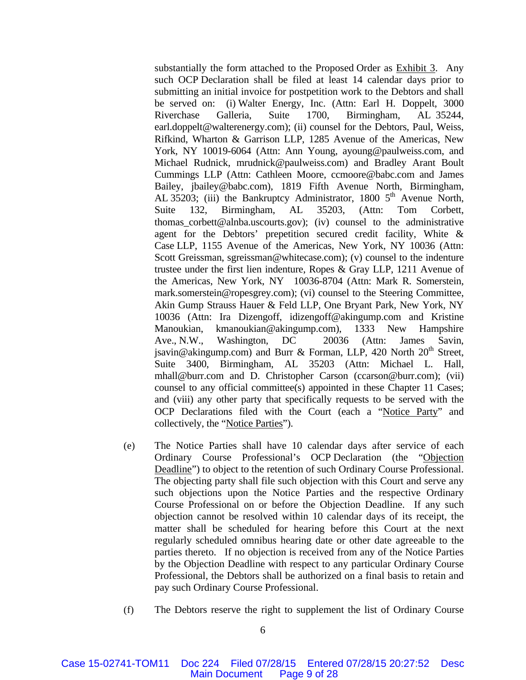substantially the form attached to the Proposed Order as Exhibit 3. Any such OCP Declaration shall be filed at least 14 calendar days prior to submitting an initial invoice for postpetition work to the Debtors and shall be served on: (i) Walter Energy, Inc. (Attn: Earl H. Doppelt, 3000 Riverchase Galleria, Suite 1700, Birmingham, AL 35244, earl.doppelt@walterenergy.com); (ii) counsel for the Debtors, Paul, Weiss, Rifkind, Wharton & Garrison LLP, 1285 Avenue of the Americas, New York, NY 10019-6064 (Attn: Ann Young, ayoung@paulweiss.com, and Michael Rudnick, mrudnick@paulweiss.com) and Bradley Arant Boult Cummings LLP (Attn: Cathleen Moore, ccmoore@babc.com and James Bailey, jbailey@babc.com), 1819 Fifth Avenue North, Birmingham, AL 35203; (iii) the Bankruptcy Administrator, 1800  $5<sup>th</sup>$  Avenue North, Suite 132, Birmingham, AL 35203, (Attn: Tom Corbett, thomas\_corbett@alnba.uscourts.gov); (iv) counsel to the administrative agent for the Debtors' prepetition secured credit facility, White & Case LLP, 1155 Avenue of the Americas, New York, NY 10036 (Attn: Scott Greissman, sgreissman@whitecase.com); (v) counsel to the indenture trustee under the first lien indenture, Ropes & Gray LLP, 1211 Avenue of the Americas, New York, NY 10036-8704 (Attn: Mark R. Somerstein, mark.somerstein@ropesgrey.com); (vi) counsel to the Steering Committee, Akin Gump Strauss Hauer & Feld LLP, One Bryant Park, New York, NY 10036 (Attn: Ira Dizengoff, idizengoff@akingump.com and Kristine Manoukian, kmanoukian@akingump.com), 1333 New Hampshire Ave., N.W., Washington, DC 20036 (Attn: James Savin, jsavin@akingump.com) and Burr & Forman, LLP, 420 North  $20<sup>th</sup>$  Street, Suite 3400, Birmingham, AL 35203 (Attn: Michael L. Hall, mhall@burr.com and D. Christopher Carson (ccarson@burr.com); (vii) counsel to any official committee(s) appointed in these Chapter 11 Cases; and (viii) any other party that specifically requests to be served with the OCP Declarations filed with the Court (each a "Notice Party" and collectively, the "Notice Parties").

- (e) The Notice Parties shall have 10 calendar days after service of each Ordinary Course Professional's OCP Declaration (the "Objection Deadline") to object to the retention of such Ordinary Course Professional. The objecting party shall file such objection with this Court and serve any such objections upon the Notice Parties and the respective Ordinary Course Professional on or before the Objection Deadline. If any such objection cannot be resolved within 10 calendar days of its receipt, the matter shall be scheduled for hearing before this Court at the next regularly scheduled omnibus hearing date or other date agreeable to the parties thereto. If no objection is received from any of the Notice Parties by the Objection Deadline with respect to any particular Ordinary Course Professional, the Debtors shall be authorized on a final basis to retain and pay such Ordinary Course Professional.
- (f) The Debtors reserve the right to supplement the list of Ordinary Course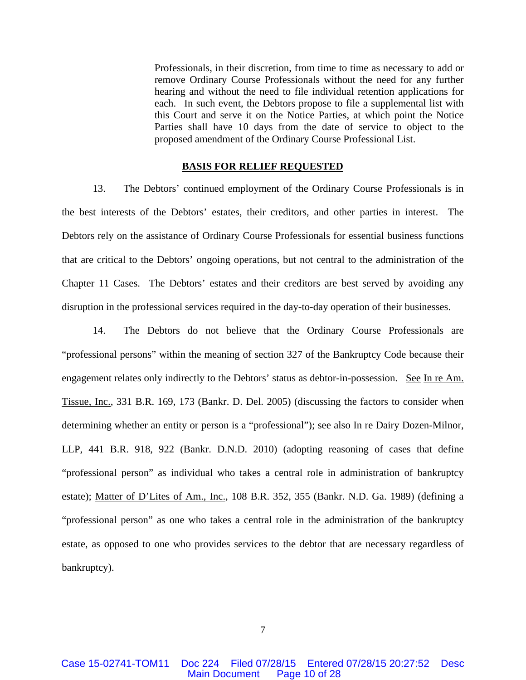Professionals, in their discretion, from time to time as necessary to add or remove Ordinary Course Professionals without the need for any further hearing and without the need to file individual retention applications for each. In such event, the Debtors propose to file a supplemental list with this Court and serve it on the Notice Parties, at which point the Notice Parties shall have 10 days from the date of service to object to the proposed amendment of the Ordinary Course Professional List.

#### **BASIS FOR RELIEF REQUESTED**

13. The Debtors' continued employment of the Ordinary Course Professionals is in the best interests of the Debtors' estates, their creditors, and other parties in interest. The Debtors rely on the assistance of Ordinary Course Professionals for essential business functions that are critical to the Debtors' ongoing operations, but not central to the administration of the Chapter 11 Cases. The Debtors' estates and their creditors are best served by avoiding any disruption in the professional services required in the day-to-day operation of their businesses.

14. The Debtors do not believe that the Ordinary Course Professionals are "professional persons" within the meaning of section 327 of the Bankruptcy Code because their engagement relates only indirectly to the Debtors' status as debtor-in-possession. See In re Am. Tissue, Inc., 331 B.R. 169, 173 (Bankr. D. Del. 2005) (discussing the factors to consider when determining whether an entity or person is a "professional"); <u>see also In re Dairy Dozen-Milnor</u>, LLP, 441 B.R. 918, 922 (Bankr. D.N.D. 2010) (adopting reasoning of cases that define "professional person" as individual who takes a central role in administration of bankruptcy estate); Matter of D'Lites of Am., Inc., 108 B.R. 352, 355 (Bankr. N.D. Ga. 1989) (defining a "professional person" as one who takes a central role in the administration of the bankruptcy estate, as opposed to one who provides services to the debtor that are necessary regardless of bankruptcy).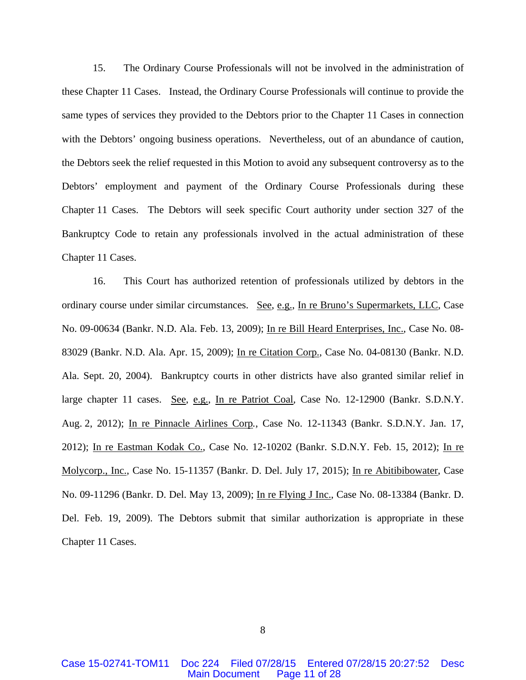15. The Ordinary Course Professionals will not be involved in the administration of these Chapter 11 Cases. Instead, the Ordinary Course Professionals will continue to provide the same types of services they provided to the Debtors prior to the Chapter 11 Cases in connection with the Debtors' ongoing business operations. Nevertheless, out of an abundance of caution, the Debtors seek the relief requested in this Motion to avoid any subsequent controversy as to the Debtors' employment and payment of the Ordinary Course Professionals during these Chapter 11 Cases. The Debtors will seek specific Court authority under section 327 of the Bankruptcy Code to retain any professionals involved in the actual administration of these Chapter 11 Cases.

16. This Court has authorized retention of professionals utilized by debtors in the ordinary course under similar circumstances. See, e.g., In re Bruno's Supermarkets, LLC, Case No. 09-00634 (Bankr. N.D. Ala. Feb. 13, 2009); In re Bill Heard Enterprises, Inc., Case No. 08- 83029 (Bankr. N.D. Ala. Apr. 15, 2009); In re Citation Corp., Case No. 04-08130 (Bankr. N.D. Ala. Sept. 20, 2004). Bankruptcy courts in other districts have also granted similar relief in large chapter 11 cases. See, e.g., In re Patriot Coal*,* Case No. 12-12900 (Bankr. S.D.N.Y. Aug. 2, 2012); In re Pinnacle Airlines Corp*.*, Case No. 12-11343 (Bankr. S.D.N.Y. Jan. 17, 2012); In re Eastman Kodak Co., Case No. 12-10202 (Bankr. S.D.N.Y. Feb. 15, 2012); In re Molycorp., Inc., Case No. 15-11357 (Bankr. D. Del. July 17, 2015); In re Abitibibowater, Case No. 09-11296 (Bankr. D. Del. May 13, 2009); In re Flying J Inc., Case No. 08-13384 (Bankr. D. Del. Feb. 19, 2009). The Debtors submit that similar authorization is appropriate in these Chapter 11 Cases.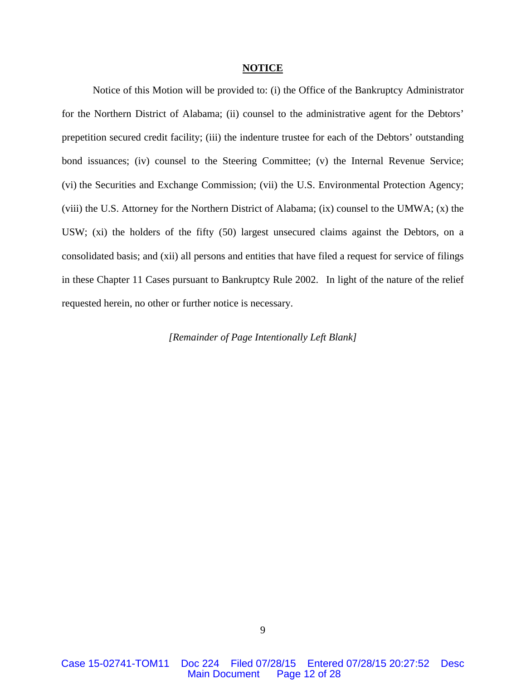#### **NOTICE**

Notice of this Motion will be provided to: (i) the Office of the Bankruptcy Administrator for the Northern District of Alabama; (ii) counsel to the administrative agent for the Debtors' prepetition secured credit facility; (iii) the indenture trustee for each of the Debtors' outstanding bond issuances; (iv) counsel to the Steering Committee; (v) the Internal Revenue Service; (vi) the Securities and Exchange Commission; (vii) the U.S. Environmental Protection Agency; (viii) the U.S. Attorney for the Northern District of Alabama; (ix) counsel to the UMWA; (x) the USW; (xi) the holders of the fifty (50) largest unsecured claims against the Debtors, on a consolidated basis; and (xii) all persons and entities that have filed a request for service of filings in these Chapter 11 Cases pursuant to Bankruptcy Rule 2002. In light of the nature of the relief requested herein, no other or further notice is necessary.

*[Remainder of Page Intentionally Left Blank]*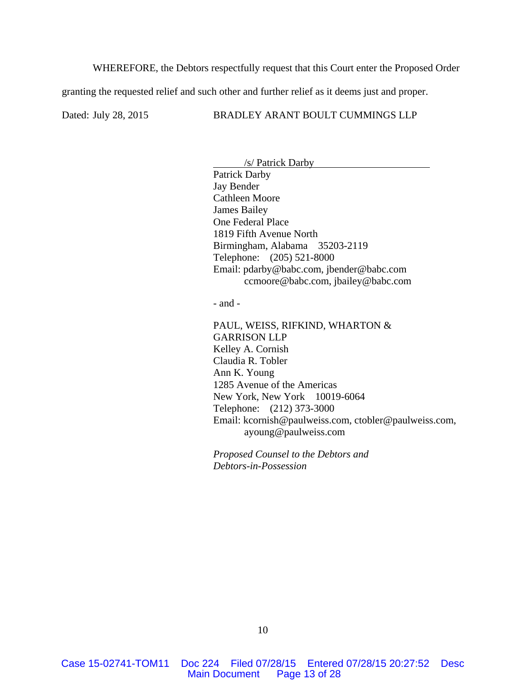WHEREFORE, the Debtors respectfully request that this Court enter the Proposed Order

granting the requested relief and such other and further relief as it deems just and proper.

#### Dated: July 28, 2015 BRADLEY ARANT BOULT CUMMINGS LLP

 /s/ Patrick Darby Patrick Darby Jay Bender Cathleen Moore James Bailey One Federal Place 1819 Fifth Avenue North Birmingham, Alabama 35203-2119 Telephone: (205) 521-8000 Email: pdarby@babc.com, jbender@babc.com ccmoore@babc.com, jbailey@babc.com

- and -

PAUL, WEISS, RIFKIND, WHARTON & GARRISON LLP Kelley A. Cornish Claudia R. Tobler Ann K. Young 1285 Avenue of the Americas New York, New York 10019-6064 Telephone: (212) 373-3000 Email: kcornish@paulweiss.com, ctobler@paulweiss.com, ayoung@paulweiss.com

*Proposed Counsel to the Debtors and Debtors-in-Possession*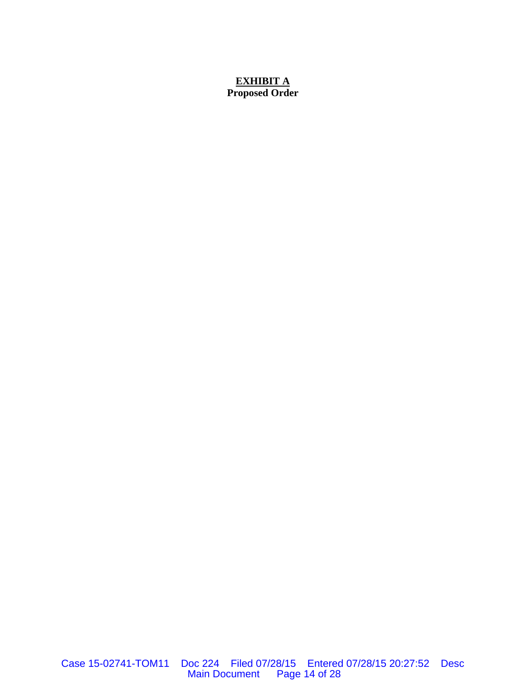# **EXHIBIT A Proposed Order**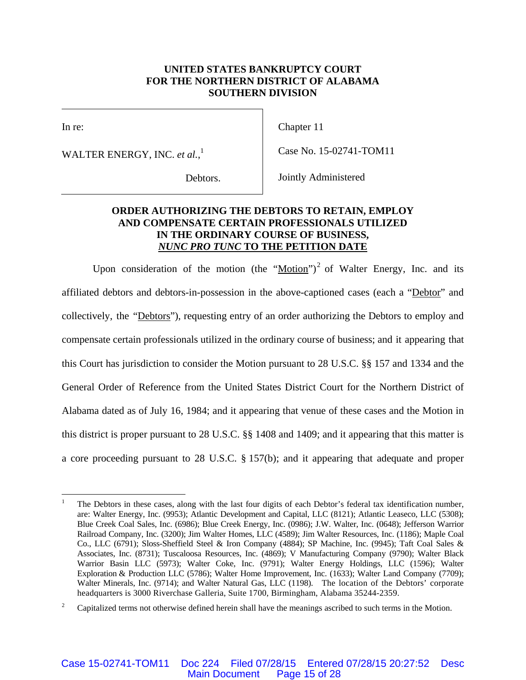## **UNITED STATES BANKRUPTCY COURT FOR THE NORTHERN DISTRICT OF ALABAMA SOUTHERN DIVISION**

 $\overline{\phantom{a}}$ 

In re:

WALTER ENERGY, INC. *et al.*, 1

Chapter 11

Case No. 15-02741-TOM11

Debtors.

Jointly Administered

# **ORDER AUTHORIZING THE DEBTORS TO RETAIN, EMPLOY AND COMPENSATE CERTAIN PROFESSIONALS UTILIZED IN THE ORDINARY COURSE OF BUSINESS,**  *NUNC PRO TUNC* **TO THE PETITION DATE**

Upon consideration of the motion (the "Motion")<sup>2</sup> of Walter Energy, Inc. and its affiliated debtors and debtors-in-possession in the above-captioned cases (each a "Debtor" and collectively, the "Debtors"), requesting entry of an order authorizing the Debtors to employ and compensate certain professionals utilized in the ordinary course of business; and it appearing that this Court has jurisdiction to consider the Motion pursuant to 28 U.S.C. §§ 157 and 1334 and the General Order of Reference from the United States District Court for the Northern District of Alabama dated as of July 16, 1984; and it appearing that venue of these cases and the Motion in this district is proper pursuant to 28 U.S.C. §§ 1408 and 1409; and it appearing that this matter is a core proceeding pursuant to 28 U.S.C. § 157(b); and it appearing that adequate and proper

 $\overline{a}$ 1 The Debtors in these cases, along with the last four digits of each Debtor's federal tax identification number, are: Walter Energy, Inc. (9953); Atlantic Development and Capital, LLC (8121); Atlantic Leaseco, LLC (5308); Blue Creek Coal Sales, Inc. (6986); Blue Creek Energy, Inc. (0986); J.W. Walter, Inc. (0648); Jefferson Warrior Railroad Company, Inc. (3200); Jim Walter Homes, LLC (4589); Jim Walter Resources, Inc. (1186); Maple Coal Co., LLC (6791); Sloss-Sheffield Steel & Iron Company (4884); SP Machine, Inc. (9945); Taft Coal Sales & Associates, Inc. (8731); Tuscaloosa Resources, Inc. (4869); V Manufacturing Company (9790); Walter Black Warrior Basin LLC (5973); Walter Coke, Inc. (9791); Walter Energy Holdings, LLC (1596); Walter Exploration & Production LLC (5786); Walter Home Improvement, Inc. (1633); Walter Land Company (7709); Walter Minerals, Inc. (9714); and Walter Natural Gas, LLC (1198). The location of the Debtors' corporate headquarters is 3000 Riverchase Galleria, Suite 1700, Birmingham, Alabama 35244-2359.

<sup>2</sup> Capitalized terms not otherwise defined herein shall have the meanings ascribed to such terms in the Motion.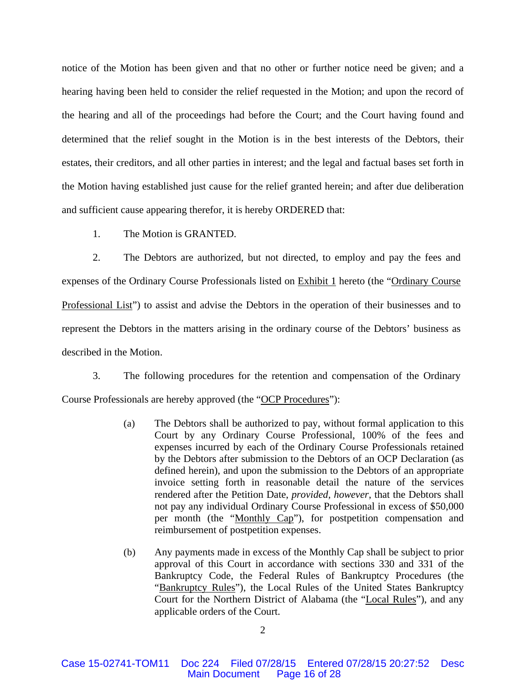notice of the Motion has been given and that no other or further notice need be given; and a hearing having been held to consider the relief requested in the Motion; and upon the record of the hearing and all of the proceedings had before the Court; and the Court having found and determined that the relief sought in the Motion is in the best interests of the Debtors, their estates, their creditors, and all other parties in interest; and the legal and factual bases set forth in the Motion having established just cause for the relief granted herein; and after due deliberation and sufficient cause appearing therefor, it is hereby ORDERED that:

1. The Motion is GRANTED.

2. The Debtors are authorized, but not directed, to employ and pay the fees and expenses of the Ordinary Course Professionals listed on Exhibit 1 hereto (the "Ordinary Course Professional List") to assist and advise the Debtors in the operation of their businesses and to represent the Debtors in the matters arising in the ordinary course of the Debtors' business as described in the Motion.

3. The following procedures for the retention and compensation of the Ordinary Course Professionals are hereby approved (the "OCP Procedures"):

- (a) The Debtors shall be authorized to pay, without formal application to this Court by any Ordinary Course Professional, 100% of the fees and expenses incurred by each of the Ordinary Course Professionals retained by the Debtors after submission to the Debtors of an OCP Declaration (as defined herein), and upon the submission to the Debtors of an appropriate invoice setting forth in reasonable detail the nature of the services rendered after the Petition Date, *provided, however*, that the Debtors shall not pay any individual Ordinary Course Professional in excess of \$50,000 per month (the "Monthly Cap"), for postpetition compensation and reimbursement of postpetition expenses.
- (b) Any payments made in excess of the Monthly Cap shall be subject to prior approval of this Court in accordance with sections 330 and 331 of the Bankruptcy Code, the Federal Rules of Bankruptcy Procedures (the "Bankruptcy Rules"), the Local Rules of the United States Bankruptcy Court for the Northern District of Alabama (the "Local Rules"), and any applicable orders of the Court.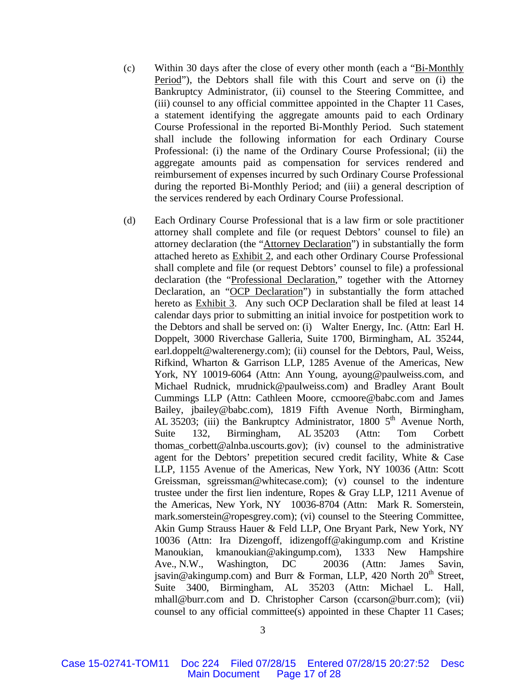- (c) Within 30 days after the close of every other month (each a "Bi-Monthly Period"), the Debtors shall file with this Court and serve on (i) the Bankruptcy Administrator, (ii) counsel to the Steering Committee, and (iii) counsel to any official committee appointed in the Chapter 11 Cases, a statement identifying the aggregate amounts paid to each Ordinary Course Professional in the reported Bi-Monthly Period. Such statement shall include the following information for each Ordinary Course Professional: (i) the name of the Ordinary Course Professional; (ii) the aggregate amounts paid as compensation for services rendered and reimbursement of expenses incurred by such Ordinary Course Professional during the reported Bi-Monthly Period; and (iii) a general description of the services rendered by each Ordinary Course Professional.
- (d) Each Ordinary Course Professional that is a law firm or sole practitioner attorney shall complete and file (or request Debtors' counsel to file) an attorney declaration (the "Attorney Declaration") in substantially the form attached hereto as Exhibit 2, and each other Ordinary Course Professional shall complete and file (or request Debtors' counsel to file) a professional declaration (the "Professional Declaration," together with the Attorney Declaration, an "OCP Declaration") in substantially the form attached hereto as Exhibit 3. Any such OCP Declaration shall be filed at least 14 calendar days prior to submitting an initial invoice for postpetition work to the Debtors and shall be served on: (i) Walter Energy, Inc. (Attn: Earl H. Doppelt, 3000 Riverchase Galleria, Suite 1700, Birmingham, AL 35244, earl.doppelt@walterenergy.com); (ii) counsel for the Debtors, Paul, Weiss, Rifkind, Wharton & Garrison LLP, 1285 Avenue of the Americas, New York, NY 10019-6064 (Attn: Ann Young, ayoung@paulweiss.com, and Michael Rudnick, mrudnick@paulweiss.com) and Bradley Arant Boult Cummings LLP (Attn: Cathleen Moore, ccmoore@babc.com and James Bailey, jbailey@babc.com), 1819 Fifth Avenue North, Birmingham, AL 35203; (iii) the Bankruptcy Administrator, 1800 5<sup>th</sup> Avenue North, Suite 132, Birmingham, AL 35203 (Attn: Tom Corbett thomas corbett@alnba.uscourts.gov); (iv) counsel to the administrative agent for the Debtors' prepetition secured credit facility, White & Case LLP, 1155 Avenue of the Americas, New York, NY 10036 (Attn: Scott Greissman, sgreissman@whitecase.com); (v) counsel to the indenture trustee under the first lien indenture, Ropes & Gray LLP, 1211 Avenue of the Americas, New York, NY 10036-8704 (Attn: Mark R. Somerstein, mark.somerstein@ropesgrey.com); (vi) counsel to the Steering Committee, Akin Gump Strauss Hauer & Feld LLP, One Bryant Park, New York, NY 10036 (Attn: Ira Dizengoff, idizengoff@akingump.com and Kristine Manoukian, kmanoukian@akingump.com), 1333 New Hampshire Ave., N.W., Washington, DC 20036 (Attn: James Savin, jsavin@akingump.com) and Burr & Forman, LLP, 420 North 20<sup>th</sup> Street, Suite 3400, Birmingham, AL 35203 (Attn: Michael L. Hall, mhall@burr.com and D. Christopher Carson (ccarson@burr.com); (vii) counsel to any official committee(s) appointed in these Chapter 11 Cases;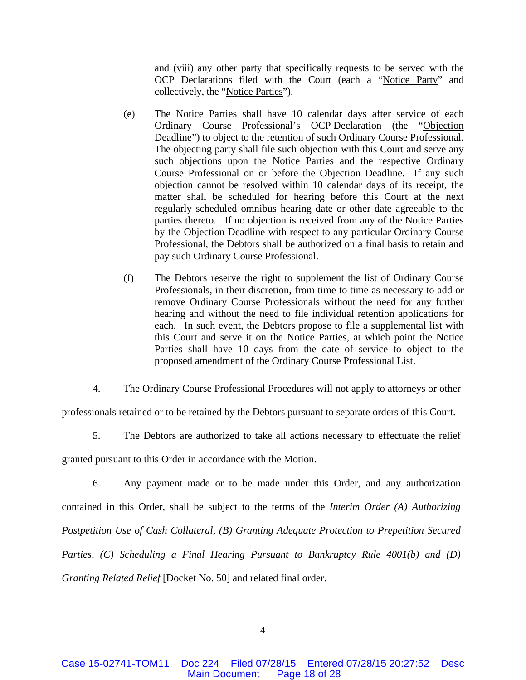and (viii) any other party that specifically requests to be served with the OCP Declarations filed with the Court (each a "Notice Party" and collectively, the "Notice Parties").

- (e) The Notice Parties shall have 10 calendar days after service of each Ordinary Course Professional's OCP Declaration (the "Objection Deadline") to object to the retention of such Ordinary Course Professional. The objecting party shall file such objection with this Court and serve any such objections upon the Notice Parties and the respective Ordinary Course Professional on or before the Objection Deadline. If any such objection cannot be resolved within 10 calendar days of its receipt, the matter shall be scheduled for hearing before this Court at the next regularly scheduled omnibus hearing date or other date agreeable to the parties thereto. If no objection is received from any of the Notice Parties by the Objection Deadline with respect to any particular Ordinary Course Professional, the Debtors shall be authorized on a final basis to retain and pay such Ordinary Course Professional.
- (f) The Debtors reserve the right to supplement the list of Ordinary Course Professionals, in their discretion, from time to time as necessary to add or remove Ordinary Course Professionals without the need for any further hearing and without the need to file individual retention applications for each. In such event, the Debtors propose to file a supplemental list with this Court and serve it on the Notice Parties, at which point the Notice Parties shall have 10 days from the date of service to object to the proposed amendment of the Ordinary Course Professional List.
- 4. The Ordinary Course Professional Procedures will not apply to attorneys or other

professionals retained or to be retained by the Debtors pursuant to separate orders of this Court.

5. The Debtors are authorized to take all actions necessary to effectuate the relief

granted pursuant to this Order in accordance with the Motion.

6. Any payment made or to be made under this Order, and any authorization contained in this Order, shall be subject to the terms of the *Interim Order (A) Authorizing Postpetition Use of Cash Collateral, (B) Granting Adequate Protection to Prepetition Secured Parties, (C) Scheduling a Final Hearing Pursuant to Bankruptcy Rule 4001(b) and (D) Granting Related Relief* [Docket No. 50] and related final order.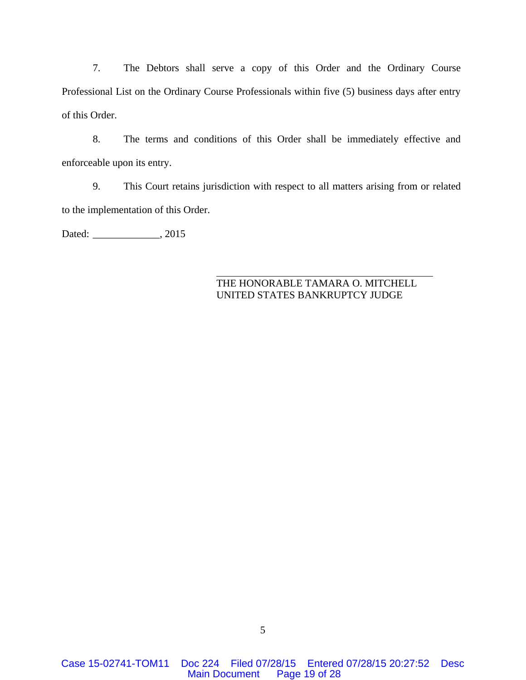7. The Debtors shall serve a copy of this Order and the Ordinary Course Professional List on the Ordinary Course Professionals within five (5) business days after entry of this Order.

8. The terms and conditions of this Order shall be immediately effective and enforceable upon its entry.

9. This Court retains jurisdiction with respect to all matters arising from or related to the implementation of this Order.

Dated: \_\_\_\_\_\_\_\_\_\_\_\_\_\_, 2015

# THE HONORABLE TAMARA O. MITCHELL UNITED STATES BANKRUPTCY JUDGE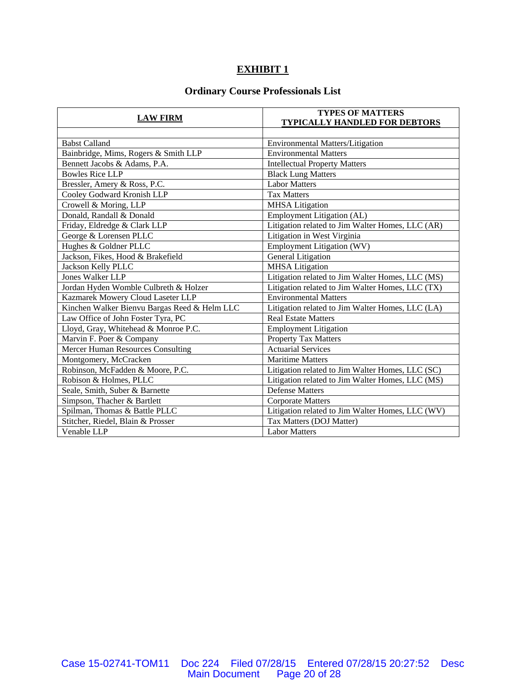# **EXHIBIT 1**

# **Ordinary Course Professionals List**

| <b>LAW FIRM</b>                              | <b>TYPES OF MATTERS</b>                          |
|----------------------------------------------|--------------------------------------------------|
|                                              | <b>TYPICALLY HANDLED FOR DEBTORS</b>             |
|                                              |                                                  |
| <b>Babst Calland</b>                         | <b>Environmental Matters/Litigation</b>          |
| Bainbridge, Mims, Rogers & Smith LLP         | <b>Environmental Matters</b>                     |
| Bennett Jacobs & Adams, P.A.                 | <b>Intellectual Property Matters</b>             |
| <b>Bowles Rice LLP</b>                       | <b>Black Lung Matters</b>                        |
| Bressler, Amery & Ross, P.C.                 | <b>Labor Matters</b>                             |
| Cooley Godward Kronish LLP                   | <b>Tax Matters</b>                               |
| Crowell & Moring, LLP                        | <b>MHSA</b> Litigation                           |
| Donald, Randall & Donald                     | Employment Litigation (AL)                       |
| Friday, Eldredge & Clark LLP                 | Litigation related to Jim Walter Homes, LLC (AR) |
| George & Lorensen PLLC                       | Litigation in West Virginia                      |
| Hughes & Goldner PLLC                        | Employment Litigation (WV)                       |
| Jackson, Fikes, Hood & Brakefield            | <b>General Litigation</b>                        |
| Jackson Kelly PLLC                           | <b>MHSA</b> Litigation                           |
| <b>Jones Walker LLP</b>                      | Litigation related to Jim Walter Homes, LLC (MS) |
| Jordan Hyden Womble Culbreth & Holzer        | Litigation related to Jim Walter Homes, LLC (TX) |
| Kazmarek Mowery Cloud Laseter LLP            | <b>Environmental Matters</b>                     |
| Kinchen Walker Bienvu Bargas Reed & Helm LLC | Litigation related to Jim Walter Homes, LLC (LA) |
| Law Office of John Foster Tyra, PC           | <b>Real Estate Matters</b>                       |
| Lloyd, Gray, Whitehead & Monroe P.C.         | <b>Employment Litigation</b>                     |
| Marvin F. Poer & Company                     | <b>Property Tax Matters</b>                      |
| Mercer Human Resources Consulting            | <b>Actuarial Services</b>                        |
| Montgomery, McCracken                        | <b>Maritime Matters</b>                          |
| Robinson, McFadden & Moore, P.C.             | Litigation related to Jim Walter Homes, LLC (SC) |
| Robison & Holmes, PLLC                       | Litigation related to Jim Walter Homes, LLC (MS) |
| Seale, Smith, Suber & Barnette               | <b>Defense Matters</b>                           |
| Simpson, Thacher & Bartlett                  | <b>Corporate Matters</b>                         |
| Spilman, Thomas & Battle PLLC                | Litigation related to Jim Walter Homes, LLC (WV) |
| Stitcher, Riedel, Blain & Prosser            | Tax Matters (DOJ Matter)                         |
| Venable LLP                                  | <b>Labor Matters</b>                             |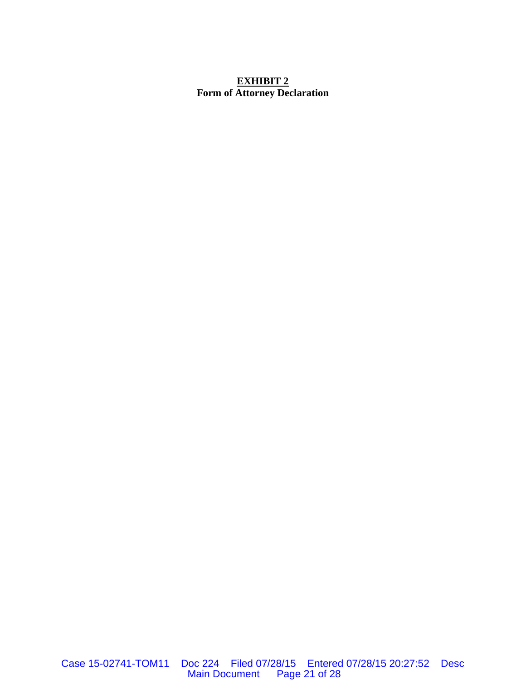# **EXHIBIT 2 Form of Attorney Declaration**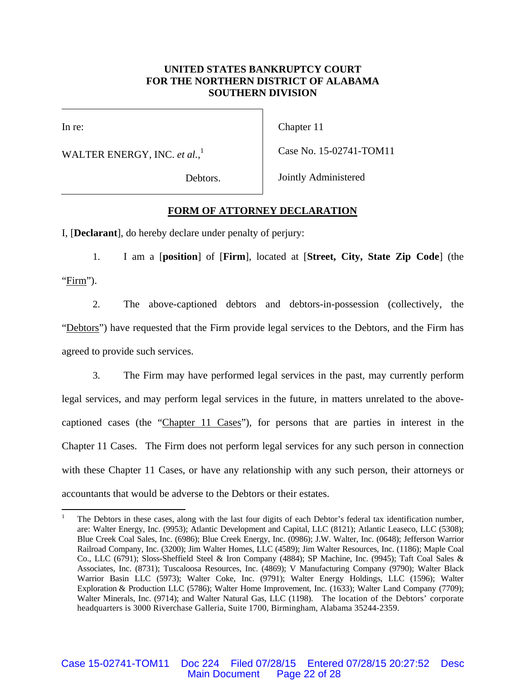# **UNITED STATES BANKRUPTCY COURT FOR THE NORTHERN DISTRICT OF ALABAMA SOUTHERN DIVISION**

 $\overline{\phantom{a}}$ 

In re:

1

WALTER ENERGY, INC. *et al.*, 1

Chapter 11

Case No. 15-02741-TOM11

Debtors.

Jointly Administered

# **FORM OF ATTORNEY DECLARATION**

I, [**Declarant**], do hereby declare under penalty of perjury:

1. I am a [**position**] of [**Firm**], located at [**Street, City, State Zip Code**] (the "Firm").

2. The above-captioned debtors and debtors-in-possession (collectively, the "Debtors") have requested that the Firm provide legal services to the Debtors, and the Firm has agreed to provide such services.

3. The Firm may have performed legal services in the past, may currently perform legal services, and may perform legal services in the future, in matters unrelated to the abovecaptioned cases (the "Chapter 11 Cases"), for persons that are parties in interest in the Chapter 11 Cases. The Firm does not perform legal services for any such person in connection with these Chapter 11 Cases, or have any relationship with any such person, their attorneys or accountants that would be adverse to the Debtors or their estates.

Case 15-02741-TOM11 Doc 224 Filed 07/28/15 Entered 07/28/15 20:27:52 Desc Main Document Page 22 of 28

<sup>1</sup> The Debtors in these cases, along with the last four digits of each Debtor's federal tax identification number, are: Walter Energy, Inc. (9953); Atlantic Development and Capital, LLC (8121); Atlantic Leaseco, LLC (5308); Blue Creek Coal Sales, Inc. (6986); Blue Creek Energy, Inc. (0986); J.W. Walter, Inc. (0648); Jefferson Warrior Railroad Company, Inc. (3200); Jim Walter Homes, LLC (4589); Jim Walter Resources, Inc. (1186); Maple Coal Co., LLC (6791); Sloss-Sheffield Steel & Iron Company (4884); SP Machine, Inc. (9945); Taft Coal Sales & Associates, Inc. (8731); Tuscaloosa Resources, Inc. (4869); V Manufacturing Company (9790); Walter Black Warrior Basin LLC (5973); Walter Coke, Inc. (9791); Walter Energy Holdings, LLC (1596); Walter Exploration & Production LLC (5786); Walter Home Improvement, Inc. (1633); Walter Land Company (7709); Walter Minerals, Inc. (9714); and Walter Natural Gas, LLC (1198). The location of the Debtors' corporate headquarters is 3000 Riverchase Galleria, Suite 1700, Birmingham, Alabama 35244-2359.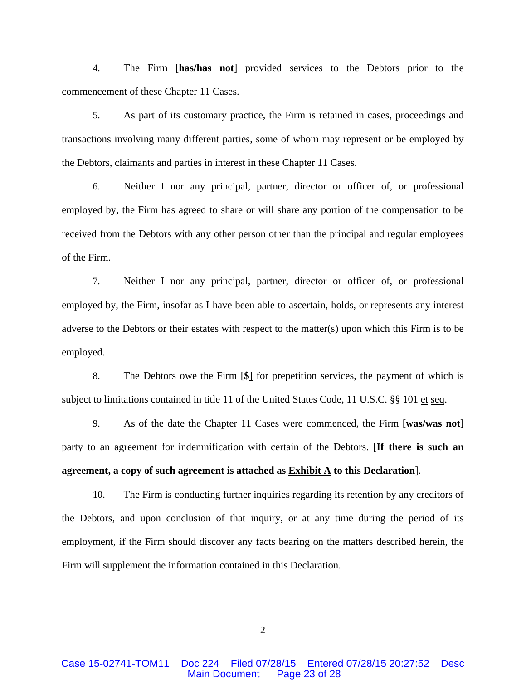4. The Firm [**has/has not**] provided services to the Debtors prior to the commencement of these Chapter 11 Cases.

5. As part of its customary practice, the Firm is retained in cases, proceedings and transactions involving many different parties, some of whom may represent or be employed by the Debtors, claimants and parties in interest in these Chapter 11 Cases.

6. Neither I nor any principal, partner, director or officer of, or professional employed by, the Firm has agreed to share or will share any portion of the compensation to be received from the Debtors with any other person other than the principal and regular employees of the Firm.

7. Neither I nor any principal, partner, director or officer of, or professional employed by, the Firm, insofar as I have been able to ascertain, holds, or represents any interest adverse to the Debtors or their estates with respect to the matter(s) upon which this Firm is to be employed.

8. The Debtors owe the Firm [**\$**] for prepetition services, the payment of which is subject to limitations contained in title 11 of the United States Code, 11 U.S.C. §§ 101 et seq.

9. As of the date the Chapter 11 Cases were commenced, the Firm [**was/was not**] party to an agreement for indemnification with certain of the Debtors. [**If there is such an agreement, a copy of such agreement is attached as Exhibit A to this Declaration**].

10. The Firm is conducting further inquiries regarding its retention by any creditors of the Debtors, and upon conclusion of that inquiry, or at any time during the period of its employment, if the Firm should discover any facts bearing on the matters described herein, the Firm will supplement the information contained in this Declaration.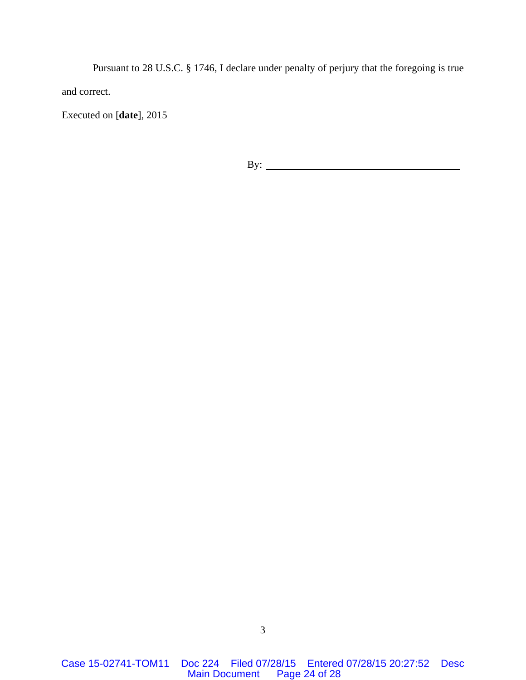Pursuant to 28 U.S.C. § 1746, I declare under penalty of perjury that the foregoing is true and correct.

Executed on [**date**], 2015

By: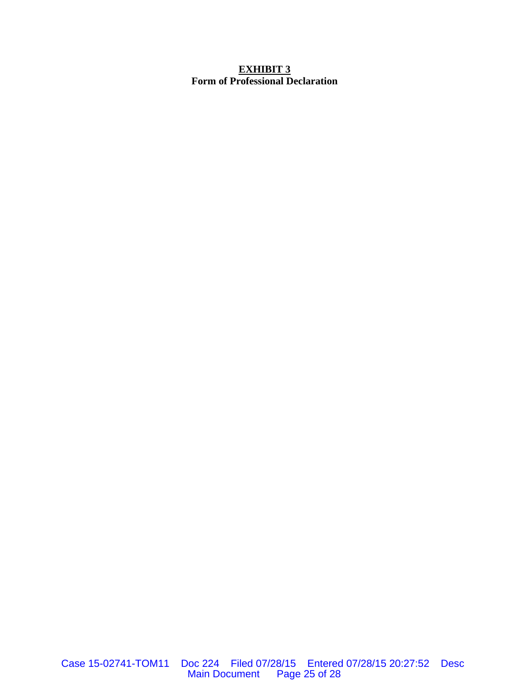# **EXHIBIT 3 Form of Professional Declaration**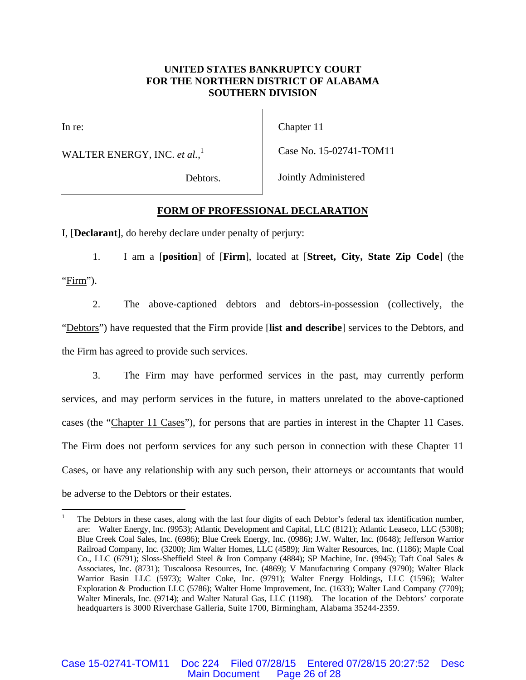# **UNITED STATES BANKRUPTCY COURT FOR THE NORTHERN DISTRICT OF ALABAMA SOUTHERN DIVISION**

 $\overline{\phantom{a}}$ 

In re:

 $\overline{a}$ 

WALTER ENERGY, INC. *et al.*, 1

Chapter 11

Case No. 15-02741-TOM11

Debtors.

Jointly Administered

# **FORM OF PROFESSIONAL DECLARATION**

I, [**Declarant**], do hereby declare under penalty of perjury:

1. I am a [**position**] of [**Firm**], located at [**Street, City, State Zip Code**] (the "Firm").

2. The above-captioned debtors and debtors-in-possession (collectively, the "Debtors") have requested that the Firm provide [**list and describe**] services to the Debtors, and the Firm has agreed to provide such services.

3. The Firm may have performed services in the past, may currently perform services, and may perform services in the future, in matters unrelated to the above-captioned cases (the "Chapter 11 Cases"), for persons that are parties in interest in the Chapter 11 Cases. The Firm does not perform services for any such person in connection with these Chapter 11 Cases, or have any relationship with any such person, their attorneys or accountants that would be adverse to the Debtors or their estates.

<sup>1</sup> The Debtors in these cases, along with the last four digits of each Debtor's federal tax identification number, are: Walter Energy, Inc. (9953); Atlantic Development and Capital, LLC (8121); Atlantic Leaseco, LLC (5308); Blue Creek Coal Sales, Inc. (6986); Blue Creek Energy, Inc. (0986); J.W. Walter, Inc. (0648); Jefferson Warrior Railroad Company, Inc. (3200); Jim Walter Homes, LLC (4589); Jim Walter Resources, Inc. (1186); Maple Coal Co., LLC (6791); Sloss-Sheffield Steel & Iron Company (4884); SP Machine, Inc. (9945); Taft Coal Sales & Associates, Inc. (8731); Tuscaloosa Resources, Inc. (4869); V Manufacturing Company (9790); Walter Black Warrior Basin LLC (5973); Walter Coke, Inc. (9791); Walter Energy Holdings, LLC (1596); Walter Exploration & Production LLC (5786); Walter Home Improvement, Inc. (1633); Walter Land Company (7709); Walter Minerals, Inc. (9714); and Walter Natural Gas, LLC (1198). The location of the Debtors' corporate headquarters is 3000 Riverchase Galleria, Suite 1700, Birmingham, Alabama 35244-2359.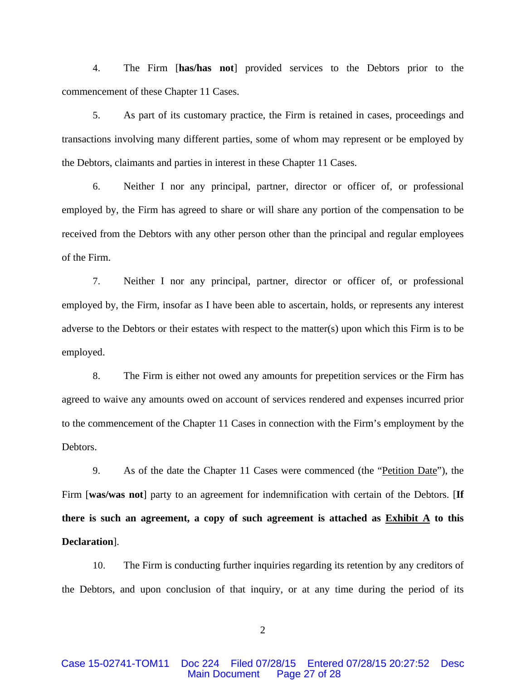4. The Firm [**has/has not**] provided services to the Debtors prior to the commencement of these Chapter 11 Cases.

5. As part of its customary practice, the Firm is retained in cases, proceedings and transactions involving many different parties, some of whom may represent or be employed by the Debtors, claimants and parties in interest in these Chapter 11 Cases.

6. Neither I nor any principal, partner, director or officer of, or professional employed by, the Firm has agreed to share or will share any portion of the compensation to be received from the Debtors with any other person other than the principal and regular employees of the Firm.

7. Neither I nor any principal, partner, director or officer of, or professional employed by, the Firm, insofar as I have been able to ascertain, holds, or represents any interest adverse to the Debtors or their estates with respect to the matter(s) upon which this Firm is to be employed.

8. The Firm is either not owed any amounts for prepetition services or the Firm has agreed to waive any amounts owed on account of services rendered and expenses incurred prior to the commencement of the Chapter 11 Cases in connection with the Firm's employment by the Debtors.

9. As of the date the Chapter 11 Cases were commenced (the "Petition Date"), the Firm [**was/was not**] party to an agreement for indemnification with certain of the Debtors. [**If there is such an agreement, a copy of such agreement is attached as Exhibit A to this Declaration**].

10. The Firm is conducting further inquiries regarding its retention by any creditors of the Debtors, and upon conclusion of that inquiry, or at any time during the period of its